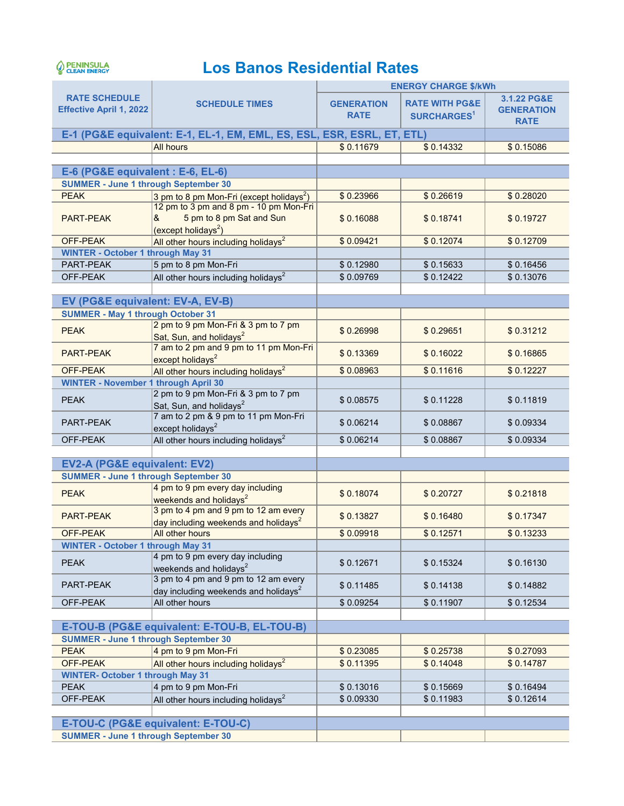## PENINSULA

## **Los Banos Residential Rates**

|                                                                                   |                                                                                                     |                                  | <b>ENERGY CHARGE \$/kWh</b>                     |                                                 |  |
|-----------------------------------------------------------------------------------|-----------------------------------------------------------------------------------------------------|----------------------------------|-------------------------------------------------|-------------------------------------------------|--|
| <b>RATE SCHEDULE</b><br><b>Effective April 1, 2022</b>                            | <b>SCHEDULE TIMES</b>                                                                               | <b>GENERATION</b><br><b>RATE</b> | <b>RATE WITH PG&amp;E</b><br><b>SURCHARGES1</b> | 3.1.22 PG&E<br><b>GENERATION</b><br><b>RATE</b> |  |
|                                                                                   | E-1 (PG&E equivalent: E-1, EL-1, EM, EML, ES, ESL, ESR, ESRL, ET, ETL)                              |                                  |                                                 |                                                 |  |
|                                                                                   | <b>All hours</b>                                                                                    | \$0.11679                        | \$0.14332                                       | \$0.15086                                       |  |
|                                                                                   |                                                                                                     |                                  |                                                 |                                                 |  |
| E-6 (PG&E equivalent : E-6, EL-6)                                                 |                                                                                                     |                                  |                                                 |                                                 |  |
| <b>SUMMER - June 1 through September 30</b>                                       |                                                                                                     |                                  |                                                 |                                                 |  |
| <b>PEAK</b>                                                                       | 3 pm to 8 pm Mon-Fri (except holidays <sup>2</sup> )                                                | \$0.23966                        | \$0.26619                                       | \$0.28020                                       |  |
| <b>PART-PEAK</b>                                                                  | 12 pm to 3 pm and 8 pm - 10 pm Mon-Fri<br>5 pm to 8 pm Sat and Sun<br>&<br>$(except \, holidays^2)$ | \$0.16088                        | \$0.18741                                       | \$0.19727                                       |  |
| OFF-PEAK                                                                          | All other hours including holidays <sup>2</sup>                                                     | \$0.09421                        | \$0.12074                                       | \$0.12709                                       |  |
| <b>WINTER - October 1 through May 31</b>                                          |                                                                                                     |                                  |                                                 |                                                 |  |
| PART-PEAK                                                                         | 5 pm to 8 pm Mon-Fri                                                                                | \$0.12980                        | \$0.15633                                       | \$0.16456                                       |  |
| OFF-PEAK                                                                          | All other hours including holidays <sup>2</sup>                                                     | \$0.09769                        | \$0.12422                                       | \$0.13076                                       |  |
|                                                                                   |                                                                                                     |                                  |                                                 |                                                 |  |
| EV (PG&E equivalent: EV-A, EV-B)                                                  |                                                                                                     |                                  |                                                 |                                                 |  |
| <b>SUMMER - May 1 through October 31</b>                                          |                                                                                                     |                                  |                                                 |                                                 |  |
| <b>PEAK</b>                                                                       | 2 pm to 9 pm Mon-Fri & 3 pm to 7 pm<br>Sat, Sun, and holidays <sup>2</sup>                          | \$0.26998                        | \$0.29651                                       | \$0.31212                                       |  |
| <b>PART-PEAK</b>                                                                  | 7 am to 2 pm and 9 pm to 11 pm Mon-Fri<br>except holidays <sup>2</sup>                              | \$0.13369                        | \$0.16022                                       | \$0.16865                                       |  |
| OFF-PEAK                                                                          | All other hours including holidays <sup>2</sup>                                                     | \$0.08963                        | \$0.11616                                       | \$0.12227                                       |  |
| <b>WINTER - November 1 through April 30</b>                                       |                                                                                                     |                                  |                                                 |                                                 |  |
| <b>PEAK</b>                                                                       | 2 pm to 9 pm Mon-Fri & 3 pm to 7 pm<br>Sat, Sun, and holidays <sup>2</sup>                          | \$0.08575                        | \$0.11228                                       | \$0.11819                                       |  |
| PART-PEAK                                                                         | 7 am to 2 pm & 9 pm to 11 pm Mon-Fri<br>except holidays <sup>2</sup>                                | \$0.06214                        | \$0.08867                                       | \$0.09334                                       |  |
| OFF-PEAK                                                                          | All other hours including holidays <sup>2</sup>                                                     | \$0.06214                        | \$0.08867                                       | \$0.09334                                       |  |
|                                                                                   |                                                                                                     |                                  |                                                 |                                                 |  |
| EV2-A (PG&E equivalent: EV2)                                                      |                                                                                                     |                                  |                                                 |                                                 |  |
| <b>SUMMER - June 1 through September 30</b>                                       |                                                                                                     |                                  |                                                 |                                                 |  |
| <b>PEAK</b>                                                                       | 4 pm to 9 pm every day including<br>weekends and holidays <sup>2</sup>                              | \$0.18074                        | \$0.20727                                       | \$0.21818                                       |  |
| <b>PART-PEAK</b>                                                                  | 3 pm to 4 pm and 9 pm to 12 am every<br>day including weekends and holidays <sup>2</sup>            | \$0.13827                        | \$0.16480                                       | \$0.17347                                       |  |
| OFF-PEAK                                                                          | All other hours                                                                                     | \$0.09918                        | \$0.12571                                       | \$0.13233                                       |  |
| <b>WINTER - October 1 through May 31</b>                                          |                                                                                                     |                                  |                                                 |                                                 |  |
| <b>PEAK</b>                                                                       | 4 pm to 9 pm every day including<br>weekends and holidays <sup>2</sup>                              | \$0.12671                        | \$0.15324                                       | \$0.16130                                       |  |
| PART-PEAK                                                                         | 3 pm to 4 pm and 9 pm to 12 am every<br>day including weekends and holidays <sup>2</sup>            | \$0.11485                        | \$0.14138                                       | \$0.14882                                       |  |
| OFF-PEAK                                                                          | All other hours                                                                                     | \$0.09254                        | \$0.11907                                       | \$0.12534                                       |  |
|                                                                                   |                                                                                                     |                                  |                                                 |                                                 |  |
|                                                                                   | E-TOU-B (PG&E equivalent: E-TOU-B, EL-TOU-B)                                                        |                                  |                                                 |                                                 |  |
| <b>SUMMER - June 1 through September 30</b>                                       |                                                                                                     |                                  |                                                 |                                                 |  |
| <b>PEAK</b>                                                                       | 4 pm to 9 pm Mon-Fri                                                                                | \$0.23085                        | \$0.25738                                       | \$0.27093                                       |  |
| OFF-PEAK                                                                          | All other hours including holidays <sup>2</sup>                                                     | \$0.11395                        | \$0.14048                                       | \$0.14787                                       |  |
| <b>WINTER- October 1 through May 31</b>                                           |                                                                                                     |                                  |                                                 |                                                 |  |
| <b>PEAK</b>                                                                       | 4 pm to 9 pm Mon-Fri                                                                                | \$0.13016                        | \$0.15669                                       | \$0.16494                                       |  |
| OFF-PEAK                                                                          | All other hours including holidays <sup>2</sup>                                                     | \$0.09330                        | \$0.11983                                       | \$0.12614                                       |  |
|                                                                                   |                                                                                                     |                                  |                                                 |                                                 |  |
| E-TOU-C (PG&E equivalent: E-TOU-C)<br><b>SUMMER - June 1 through September 30</b> |                                                                                                     |                                  |                                                 |                                                 |  |